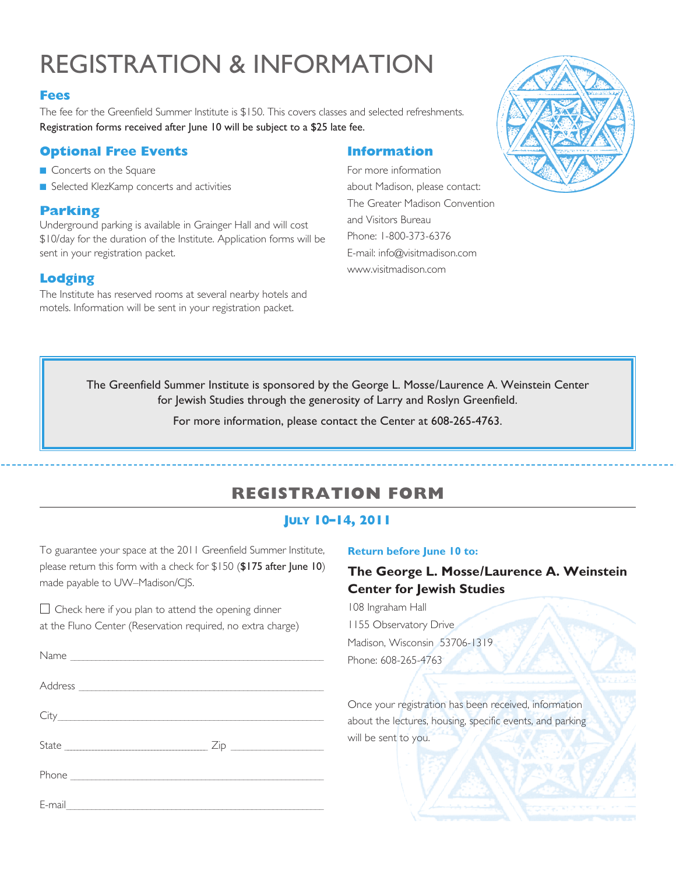# registration & information

#### **Fees**

The fee for the Greenfield Summer Institute is \$150. This covers classes and selected refreshments. Registration forms received after June 10 will be subject to a \$25 late fee.

### **Optional Free Events**

- **n** Concerts on the Square
- Selected KlezKamp concerts and activities

## **Parking**

Underground parking is available in Grainger Hall and will cost \$10/day for the duration of the Institute. Application forms will be sent in your registration packet.

## **Lodging**

The Institute has reserved rooms at several nearby hotels and motels. Information will be sent in your registration packet.

## **Information**

For more information about Madison, please contact: The Greater Madison Convention and Visitors Bureau Phone: 1-800-373-6376 E-mail: info@visitmadison.com www.visitmadison.com



The Greenfield Summer Institute is sponsored by the George L. Mosse/Laurence A. Weinstein Center for Jewish Studies through the generosity of Larry and Roslyn Greenfield.

For more information, please contact the Center at 608-265-4763.

# **registration form**

## **July 10–14, 2011**

To guarantee your space at the 2011 Greenfield Summer Institute, please return this form with a check for \$150 (\$175 after June 10) made payable to UW–Madison/CJS.

 $\Box$  Check here if you plan to attend the opening dinner at the Fluno Center (Reservation required, no extra charge)

E-mail \_ \_ \_ \_ \_ \_ \_ \_ \_ \_ \_ \_ \_ \_ \_ \_ \_ \_ \_ \_ \_ \_ \_ \_ \_ \_ \_ \_ \_ \_ \_ \_ \_ \_ \_ \_ \_ \_ \_ \_ \_ \_ \_ \_ \_ \_ \_ \_ \_ \_ \_ \_ \_ \_ \_ \_ \_ \_ \_ \_ \_

#### **Return before June 10 to:**

## **The George L. Mosse/Laurence A. Weinstein Center for Jewish Studies**

108 Ingraham Hall 1155 Observatory Drive Madison, Wisconsin 53706-1319 Phone: 608-265-4763

Once your registration has been received, information about the lectures, housing, specific events, and parking will be sent to you.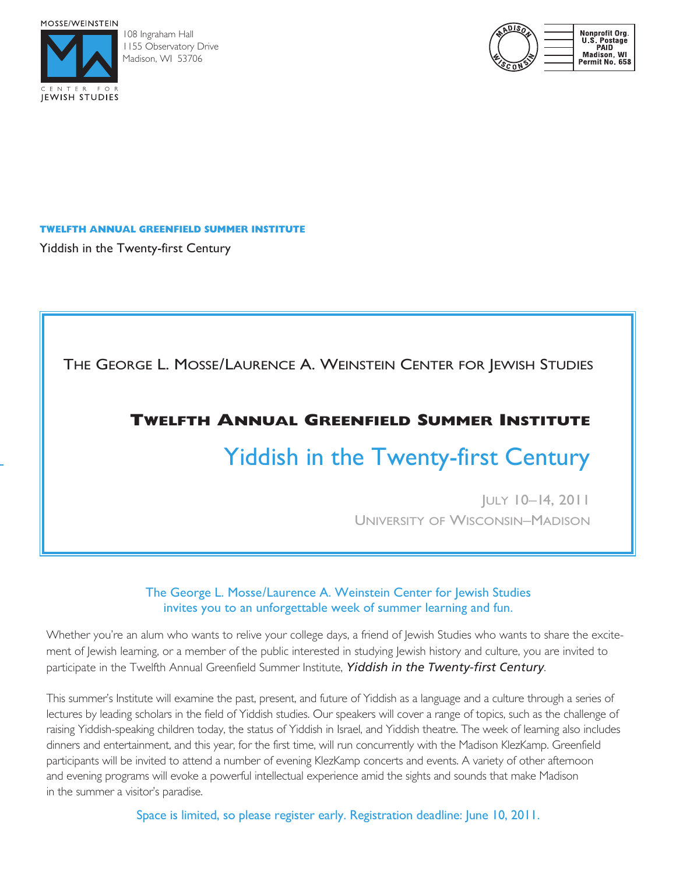MOSSE/WEINSTEIN



108 Ingraham Hall 1155 Observatory Drive Madison, WI 53706



#### **Twelfth Annual Greenfield Summer Institute**

Yiddish in the Twenty-first Century

The George L. Mosse/Laurence A. Weinstein Center for Jewish Studies

## **Twelfth Annual Greenfield Summer Institute**

# Yiddish in the Twenty-first Century

July 10–14, 2011 University of Wisconsin–Madison

### The George L. Mosse/Laurence A. Weinstein Center for Jewish Studies invites you to an unforgettable week of summer learning and fun.

Whether you're an alum who wants to relive your college days, a friend of Jewish Studies who wants to share the excitement of Jewish learning, or a member of the public interested in studying Jewish history and culture, you are invited to participate in the Twelfth Annual Greenfield Summer Institute, *Yiddish in the Twenty-first Century*.

This summer's Institute will examine the past, present, and future of Yiddish as a language and a culture through a series of lectures by leading scholars in the field of Yiddish studies. Our speakers will cover a range of topics, such as the challenge of raising Yiddish-speaking children today, the status of Yiddish in Israel, and Yiddish theatre. The week of learning also includes dinners and entertainment, and this year, for the first time, will run concurrently with the Madison KlezKamp. Greenfield participants will be invited to attend a number of evening KlezKamp concerts and events. A variety of other afternoon and evening programs will evoke a powerful intellectual experience amid the sights and sounds that make Madison in the summer a visitor's paradise.

Space is limited, so please register early. Registration deadline: June 10, 2011.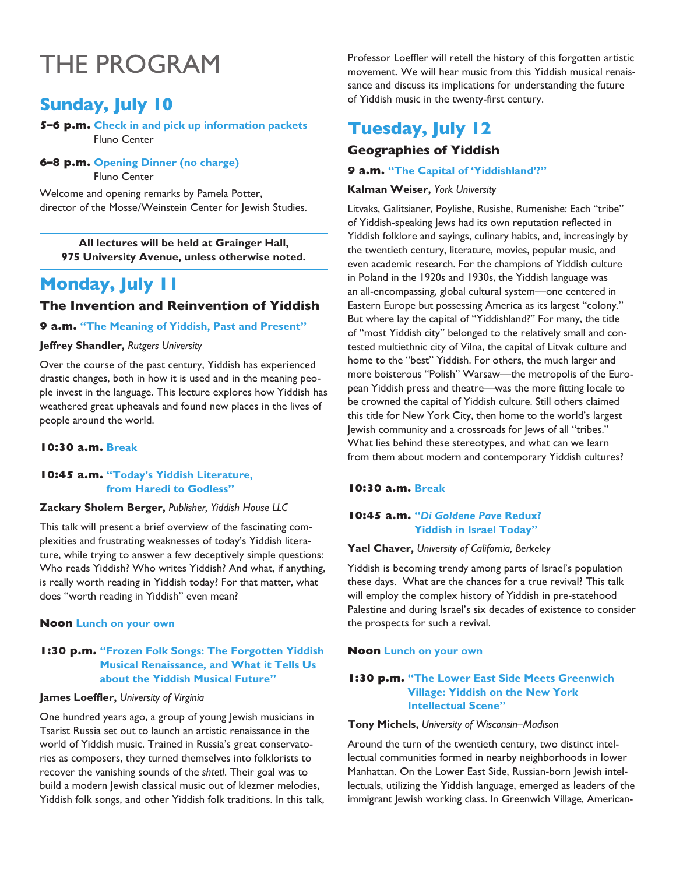# The program

# **Sunday, July 10**

**5–6 p.m. Check in and pick up information packets** Fluno Center

#### **6–8 p.m. Opening Dinner (no charge)**

Fluno Center

Welcome and opening remarks by Pamela Potter, director of the Mosse/Weinstein Center for Jewish Studies.

**All lectures will be held at Grainger Hall, 975 University Avenue, unless otherwise noted.**

# **Monday, July 11**

#### **The Invention and Reinvention of Yiddish**

#### **9 a.m. "The Meaning of Yiddish, Past and Present"**

#### **Jeffrey Shandler,** *Rutgers University*

Over the course of the past century, Yiddish has experienced drastic changes, both in how it is used and in the meaning people invest in the language. This lecture explores how Yiddish has weathered great upheavals and found new places in the lives of people around the world.

#### **10:30 a.m. Break**

#### **10:45 a.m. "Today's Yiddish Literature, from Haredi to Godless"**

#### **Zackary Sholem Berger,** *Publisher, Yiddish House LLC*

This talk will present a brief overview of the fascinating complexities and frustrating weaknesses of today's Yiddish literature, while trying to answer a few deceptively simple questions: Who reads Yiddish? Who writes Yiddish? And what, if anything, is really worth reading in Yiddish today? For that matter, what does "worth reading in Yiddish" even mean?

#### **Noon Lunch on your own**

#### **1:30 p.m. "Frozen Folk Songs: The Forgotten Yiddish Musical Renaissance, and What it Tells Us about the Yiddish Musical Future"**

#### **James Loeffler,** *University of Virginia*

One hundred years ago, a group of young Jewish musicians in Tsarist Russia set out to launch an artistic renaissance in the world of Yiddish music. Trained in Russia's great conservatories as composers, they turned themselves into folklorists to recover the vanishing sounds of the *shtetl*. Their goal was to build a modern Jewish classical music out of klezmer melodies, Yiddish folk songs, and other Yiddish folk traditions. In this talk, Professor Loeffler will retell the history of this forgotten artistic movement. We will hear music from this Yiddish musical renaissance and discuss its implications for understanding the future of Yiddish music in the twenty-first century.

# **Tuesday, July 12**

### **Geographies of Yiddish**

#### **9 a.m. "The Capital of 'Yiddishland'?"**

#### **Kalman Weiser,** *York University*

Litvaks, Galitsianer, Poylishe, Rusishe, Rumenishe: Each "tribe" of Yiddish-speaking Jews had its own reputation reflected in Yiddish folklore and sayings, culinary habits, and, increasingly by the twentieth century, literature, movies, popular music, and even academic research. For the champions of Yiddish culture in Poland in the 1920s and 1930s, the Yiddish language was an all-encompassing, global cultural system—one centered in Eastern Europe but possessing America as its largest "colony." But where lay the capital of "Yiddishland?" For many, the title of "most Yiddish city" belonged to the relatively small and contested multiethnic city of Vilna, the capital of Litvak culture and home to the "best" Yiddish. For others, the much larger and more boisterous "Polish" Warsaw—the metropolis of the European Yiddish press and theatre—was the more fitting locale to be crowned the capital of Yiddish culture. Still others claimed this title for New York City, then home to the world's largest Jewish community and a crossroads for Jews of all "tribes." What lies behind these stereotypes, and what can we learn from them about modern and contemporary Yiddish cultures?

#### **10:30 a.m. Break**

#### **10:45 a.m. "***Di Goldene Pave* **Redux? Yiddish in Israel Today"**

#### **Yael Chaver,** *University of California, Berkeley*

Yiddish is becoming trendy among parts of Israel's population these days. What are the chances for a true revival? This talk will employ the complex history of Yiddish in pre-statehood Palestine and during Israel's six decades of existence to consider the prospects for such a revival.

#### **Noon Lunch on your own**

#### **1:30 p.m. "The Lower East Side Meets Greenwich Village: Yiddish on the New York Intellectual Scene"**

#### **Tony Michels,** *University of Wisconsin–Madison*

Around the turn of the twentieth century, two distinct intellectual communities formed in nearby neighborhoods in lower Manhattan. On the Lower East Side, Russian-born Jewish intellectuals, utilizing the Yiddish language, emerged as leaders of the immigrant Jewish working class. In Greenwich Village, American